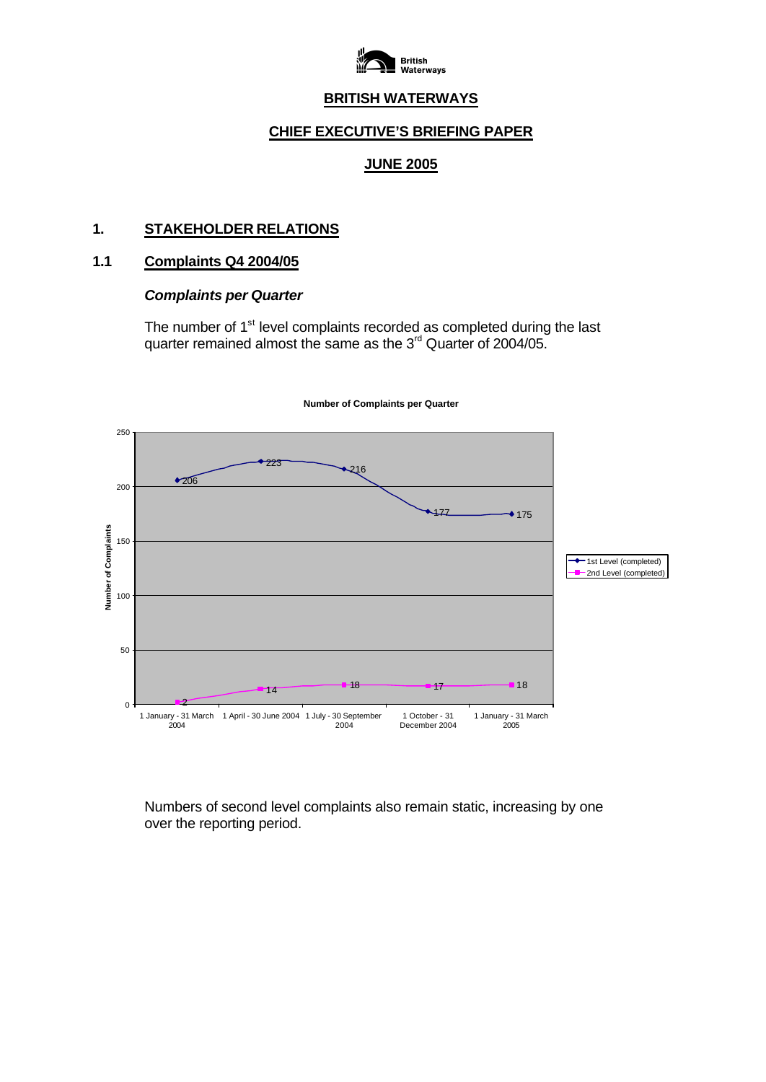

# **BRITISH WATERWAYS**

### **CHIEF EXECUTIVE'S BRIEFING PAPER**

### **JUNE 2005**

### **1. STAKEHOLDER RELATIONS**

#### **1.1 Complaints Q4 2004/05**

### *Complaints per Quarter*

The number of 1<sup>st</sup> level complaints recorded as completed during the last quarter remained almost the same as the  $3<sup>rd</sup>$  Quarter of 2004/05.



**Number of Complaints per Quarter**

Numbers of second level complaints also remain static, increasing by one over the reporting period.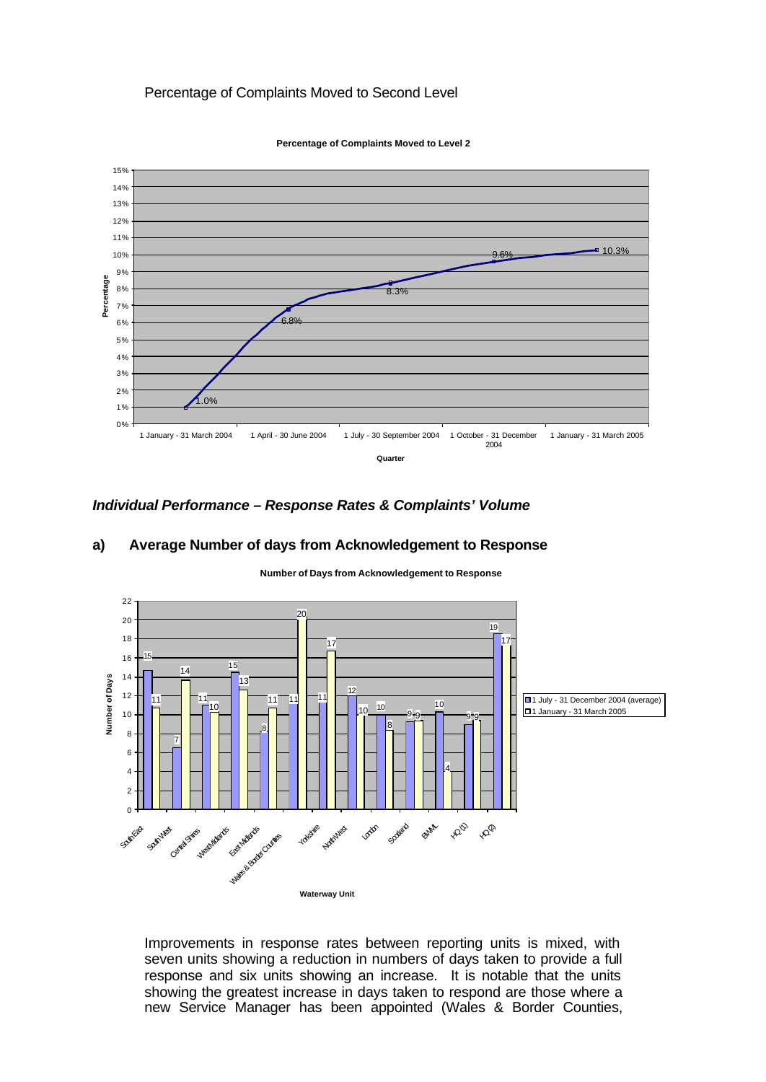### Percentage of Complaints Moved to Second Level



**Percentage of Complaints Moved to Level 2**

#### *Individual Performance – Response Rates & Complaints' Volume*

#### **a) Average Number of days from Acknowledgement to Response**



**Number of Days from Acknowledgement to Response**

Improvements in response rates between reporting units is mixed, with seven units showing a reduction in numbers of days taken to provide a full response and six units showing an increase. It is notable that the units showing the greatest increase in days taken to respond are those where a new Service Manager has been appointed (Wales & Border Counties,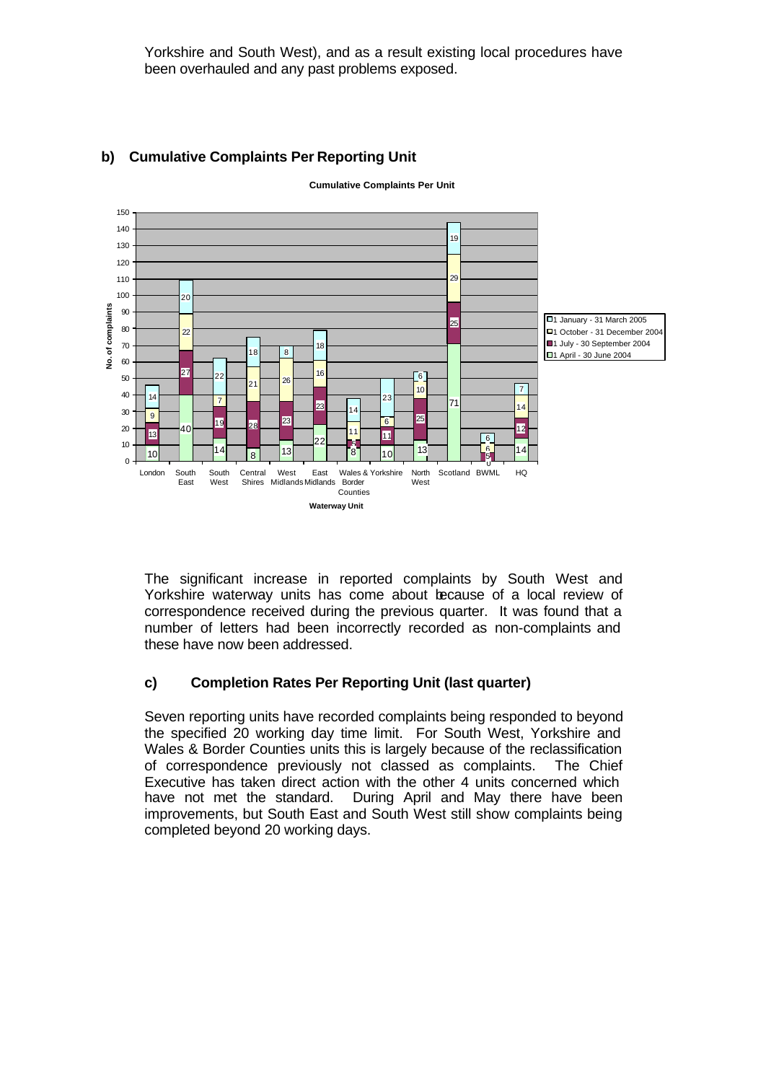Yorkshire and South West), and as a result existing local procedures have been overhauled and any past problems exposed.



# **b) Cumulative Complaints Per Reporting Unit**

**Cumulative Complaints Per Unit**

The significant increase in reported complaints by South West and Yorkshire waterway units has come about because of a local review of correspondence received during the previous quarter. It was found that a number of letters had been incorrectly recorded as non-complaints and these have now been addressed.

#### **c) Completion Rates Per Reporting Unit (last quarter)**

Seven reporting units have recorded complaints being responded to beyond the specified 20 working day time limit. For South West, Yorkshire and Wales & Border Counties units this is largely because of the reclassification of correspondence previously not classed as complaints. The Chief Executive has taken direct action with the other 4 units concerned which have not met the standard. During April and May there have been improvements, but South East and South West still show complaints being completed beyond 20 working days.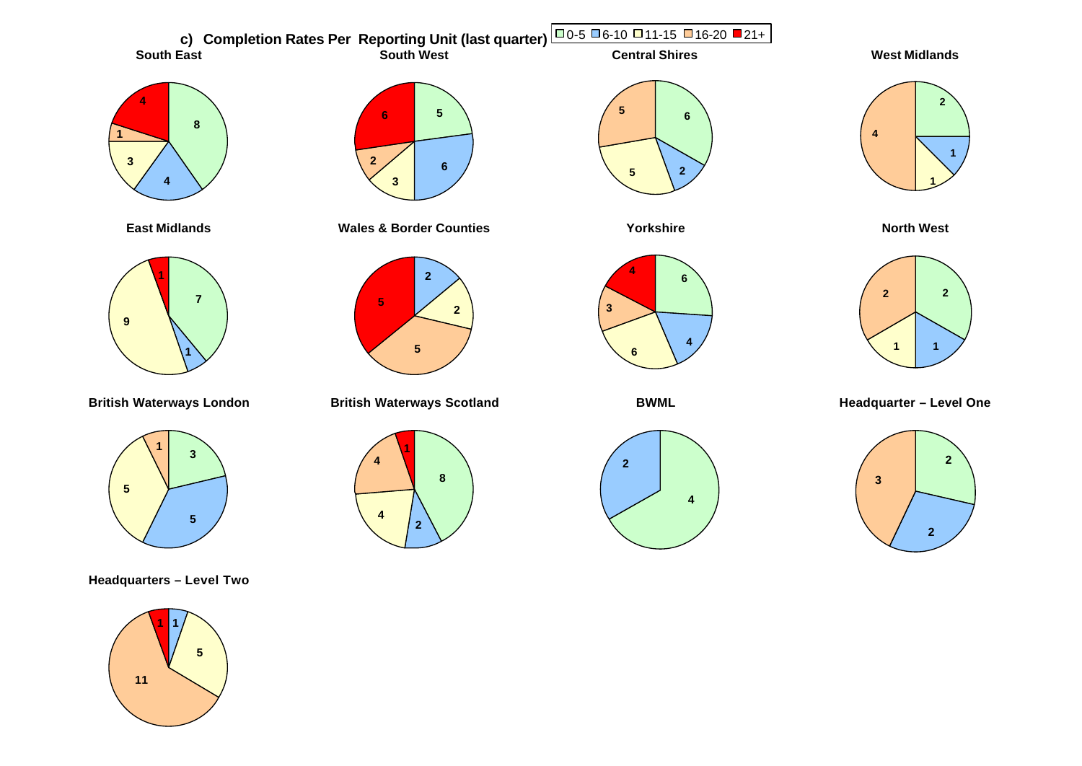

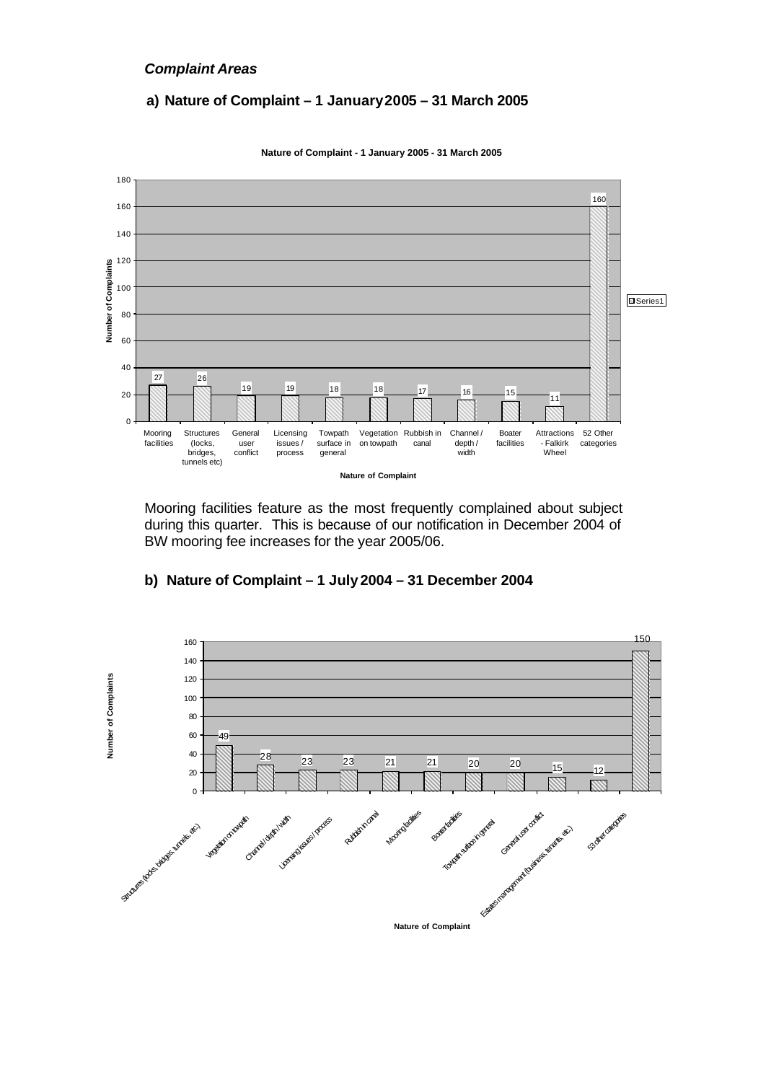#### *Complaint Areas*

### **a) Nature of Complaint – 1 January 2005 – 31 March 2005**



**Nature of Complaint - 1 January 2005 - 31 March 2005**

Mooring facilities feature as the most frequently complained about subject during this quarter. This is because of our notification in December 2004 of BW mooring fee increases for the year 2005/06.



#### **b) Nature of Complaint – 1 July 2004 – 31 December 2004**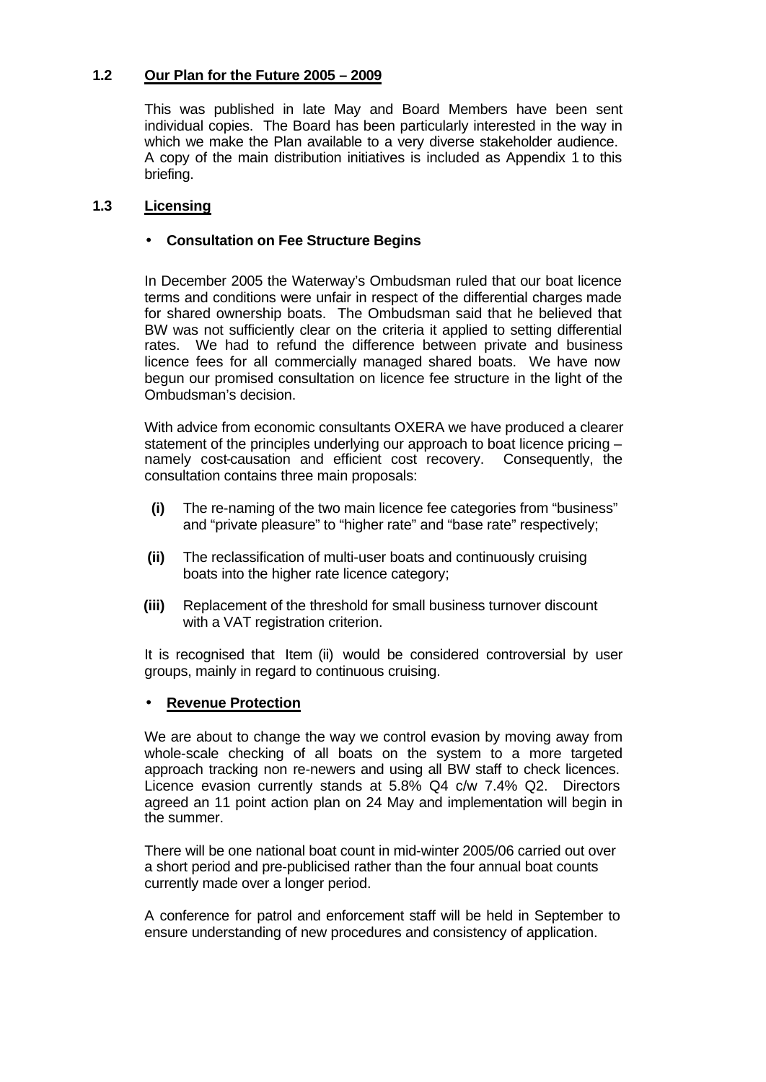# **1.2 Our Plan for the Future 2005 – 2009**

This was published in late May and Board Members have been sent individual copies. The Board has been particularly interested in the way in which we make the Plan available to a very diverse stakeholder audience. A copy of the main distribution initiatives is included as Appendix 1 to this briefing.

### **1.3 Licensing**

### • **Consultation on Fee Structure Begins**

In December 2005 the Waterway's Ombudsman ruled that our boat licence terms and conditions were unfair in respect of the differential charges made for shared ownership boats. The Ombudsman said that he believed that BW was not sufficiently clear on the criteria it applied to setting differential rates. We had to refund the difference between private and business licence fees for all commercially managed shared boats. We have now begun our promised consultation on licence fee structure in the light of the Ombudsman's decision.

With advice from economic consultants OXERA we have produced a clearer statement of the principles underlying our approach to boat licence pricing – namely cost-causation and efficient cost recovery. Consequently, the consultation contains three main proposals:

- **(i)** The re-naming of the two main licence fee categories from "business" and "private pleasure" to "higher rate" and "base rate" respectively;
- **(ii)** The reclassification of multi-user boats and continuously cruising boats into the higher rate licence category;
- **(iii)** Replacement of the threshold for small business turnover discount with a VAT registration criterion.

It is recognised that Item (ii) would be considered controversial by user groups, mainly in regard to continuous cruising.

#### • **Revenue Protection**

We are about to change the way we control evasion by moving away from whole-scale checking of all boats on the system to a more targeted approach tracking non re-newers and using all BW staff to check licences. Licence evasion currently stands at 5.8% Q4 c/w 7.4% Q2. Directors agreed an 11 point action plan on 24 May and implementation will begin in the summer.

There will be one national boat count in mid-winter 2005/06 carried out over a short period and pre-publicised rather than the four annual boat counts currently made over a longer period.

A conference for patrol and enforcement staff will be held in September to ensure understanding of new procedures and consistency of application.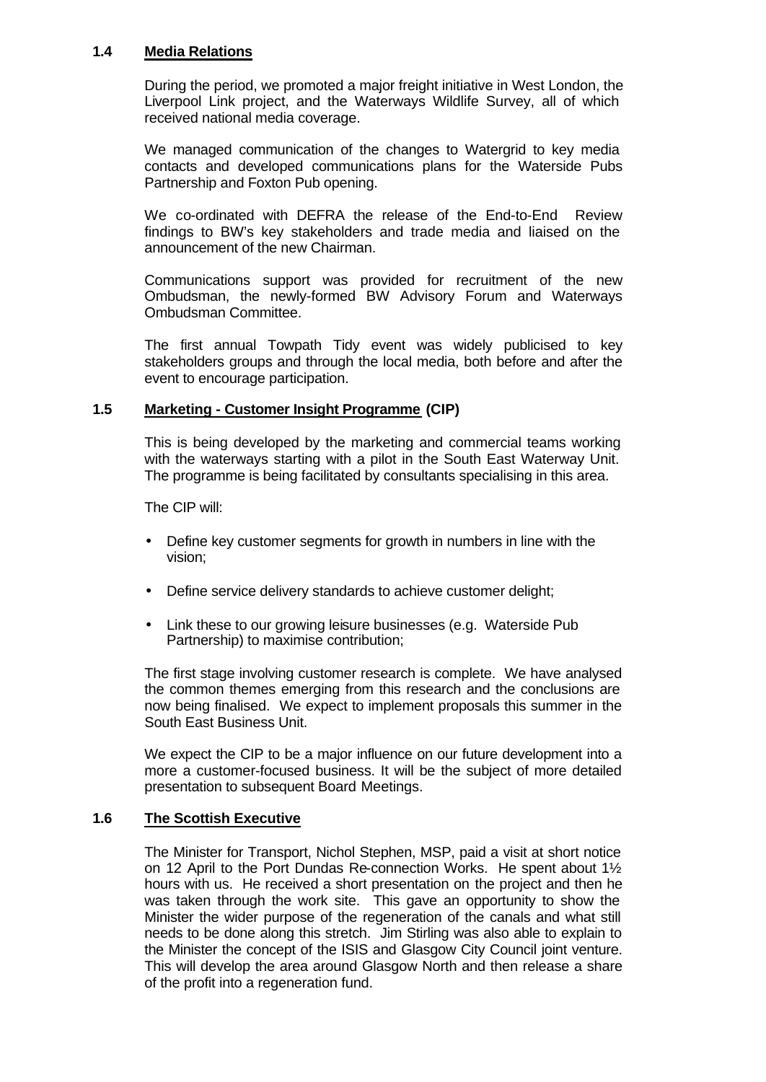#### **1.4 Media Relations**

During the period, we promoted a major freight initiative in West London, the Liverpool Link project, and the Waterways Wildlife Survey, all of which received national media coverage.

We managed communication of the changes to Watergrid to key media contacts and developed communications plans for the Waterside Pubs Partnership and Foxton Pub opening.

We co-ordinated with DEFRA the release of the End-to-End Review findings to BW's key stakeholders and trade media and liaised on the announcement of the new Chairman.

Communications support was provided for recruitment of the new Ombudsman, the newly-formed BW Advisory Forum and Waterways Ombudsman Committee.

The first annual Towpath Tidy event was widely publicised to key stakeholders groups and through the local media, both before and after the event to encourage participation.

#### **1.5 Marketing - Customer Insight Programme (CIP)**

This is being developed by the marketing and commercial teams working with the waterways starting with a pilot in the South East Waterway Unit. The programme is being facilitated by consultants specialising in this area.

The CIP will:

- Define key customer segments for growth in numbers in line with the vision;
- Define service delivery standards to achieve customer delight;
- Link these to our growing leisure businesses (e.g. Waterside Pub Partnership) to maximise contribution;

The first stage involving customer research is complete. We have analysed the common themes emerging from this research and the conclusions are now being finalised. We expect to implement proposals this summer in the South East Business Unit.

We expect the CIP to be a major influence on our future development into a more a customer-focused business. It will be the subject of more detailed presentation to subsequent Board Meetings.

#### **1.6 The Scottish Executive**

The Minister for Transport, Nichol Stephen, MSP, paid a visit at short notice on 12 April to the Port Dundas Re-connection Works. He spent about 1½ hours with us. He received a short presentation on the project and then he was taken through the work site. This gave an opportunity to show the Minister the wider purpose of the regeneration of the canals and what still needs to be done along this stretch. Jim Stirling was also able to explain to the Minister the concept of the ISIS and Glasgow City Council joint venture. This will develop the area around Glasgow North and then release a share of the profit into a regeneration fund.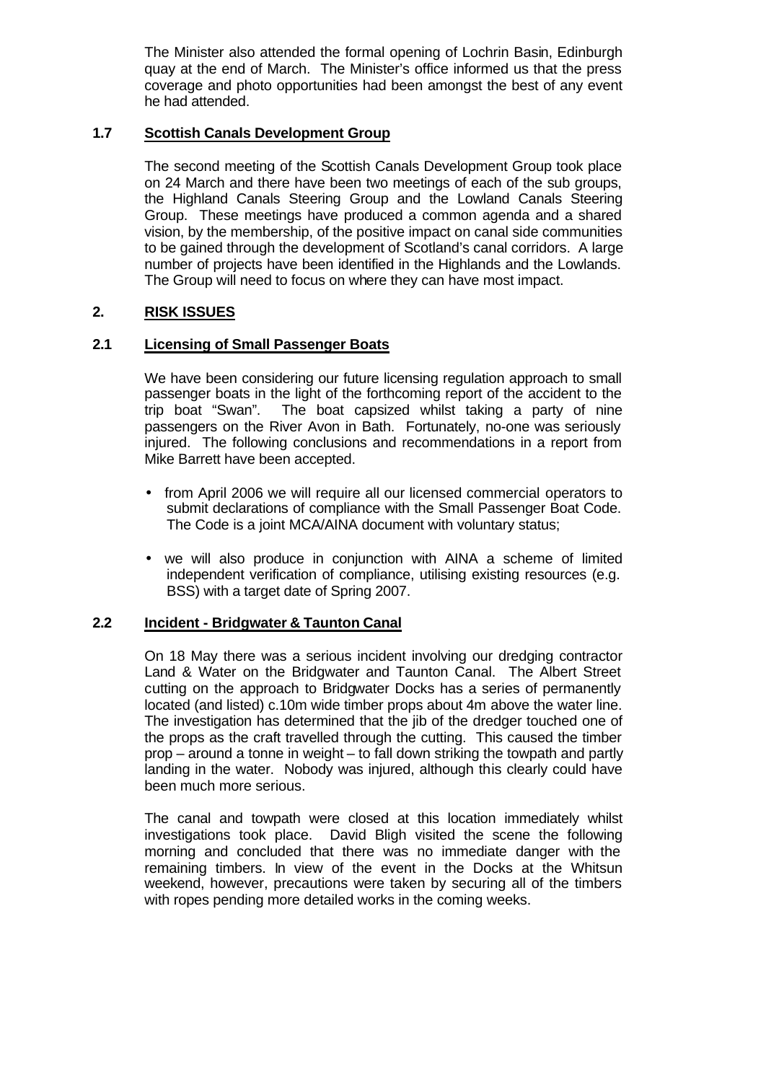The Minister also attended the formal opening of Lochrin Basin, Edinburgh quay at the end of March. The Minister's office informed us that the press coverage and photo opportunities had been amongst the best of any event he had attended.

#### **1.7 Scottish Canals Development Group**

The second meeting of the Scottish Canals Development Group took place on 24 March and there have been two meetings of each of the sub groups, the Highland Canals Steering Group and the Lowland Canals Steering Group. These meetings have produced a common agenda and a shared vision, by the membership, of the positive impact on canal side communities to be gained through the development of Scotland's canal corridors. A large number of projects have been identified in the Highlands and the Lowlands. The Group will need to focus on where they can have most impact.

#### **2. RISK ISSUES**

#### **2.1 Licensing of Small Passenger Boats**

We have been considering our future licensing regulation approach to small passenger boats in the light of the forthcoming report of the accident to the trip boat "Swan". The boat capsized whilst taking a party of nine passengers on the River Avon in Bath. Fortunately, no-one was seriously injured. The following conclusions and recommendations in a report from Mike Barrett have been accepted.

- from April 2006 we will require all our licensed commercial operators to submit declarations of compliance with the Small Passenger Boat Code. The Code is a joint MCA/AINA document with voluntary status;
- we will also produce in conjunction with AINA a scheme of limited independent verification of compliance, utilising existing resources (e.g. BSS) with a target date of Spring 2007.

#### **2.2 Incident - Bridgwater & Taunton Canal**

On 18 May there was a serious incident involving our dredging contractor Land & Water on the Bridgwater and Taunton Canal. The Albert Street cutting on the approach to Bridgwater Docks has a series of permanently located (and listed) c.10m wide timber props about 4m above the water line. The investigation has determined that the jib of the dredger touched one of the props as the craft travelled through the cutting. This caused the timber prop – around a tonne in weight – to fall down striking the towpath and partly landing in the water. Nobody was injured, although this clearly could have been much more serious.

The canal and towpath were closed at this location immediately whilst investigations took place. David Bligh visited the scene the following morning and concluded that there was no immediate danger with the remaining timbers. In view of the event in the Docks at the Whitsun weekend, however, precautions were taken by securing all of the timbers with ropes pending more detailed works in the coming weeks.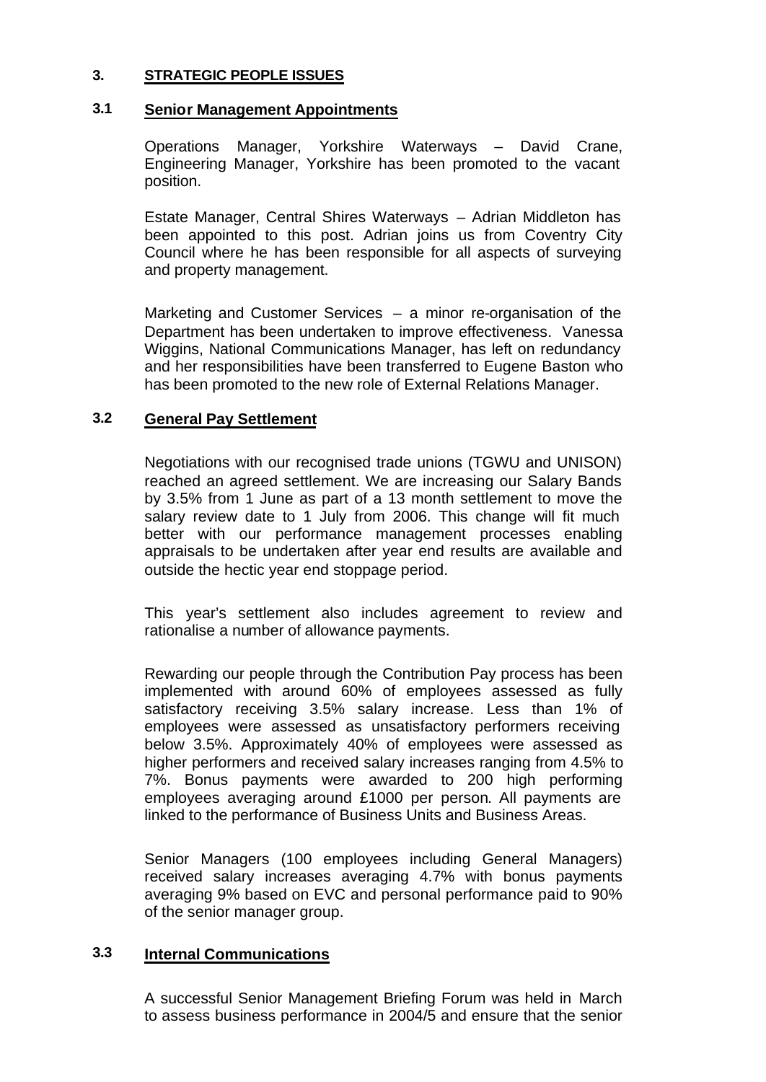# **3. STRATEGIC PEOPLE ISSUES**

### **3.1 Senior Management Appointments**

Operations Manager, Yorkshire Waterways – David Crane, Engineering Manager, Yorkshire has been promoted to the vacant position.

Estate Manager, Central Shires Waterways – Adrian Middleton has been appointed to this post. Adrian joins us from Coventry City Council where he has been responsible for all aspects of surveying and property management.

Marketing and Customer Services – a minor re-organisation of the Department has been undertaken to improve effectiveness. Vanessa Wiggins, National Communications Manager, has left on redundancy and her responsibilities have been transferred to Eugene Baston who has been promoted to the new role of External Relations Manager.

# **3.2 General Pay Settlement**

Negotiations with our recognised trade unions (TGWU and UNISON) reached an agreed settlement. We are increasing our Salary Bands by 3.5% from 1 June as part of a 13 month settlement to move the salary review date to 1 July from 2006. This change will fit much better with our performance management processes enabling appraisals to be undertaken after year end results are available and outside the hectic year end stoppage period.

This year's settlement also includes agreement to review and rationalise a number of allowance payments.

Rewarding our people through the Contribution Pay process has been implemented with around 60% of employees assessed as fully satisfactory receiving 3.5% salary increase. Less than 1% of employees were assessed as unsatisfactory performers receiving below 3.5%. Approximately 40% of employees were assessed as higher performers and received salary increases ranging from 4.5% to 7%. Bonus payments were awarded to 200 high performing employees averaging around £1000 per person. All payments are linked to the performance of Business Units and Business Areas.

Senior Managers (100 employees including General Managers) received salary increases averaging 4.7% with bonus payments averaging 9% based on EVC and personal performance paid to 90% of the senior manager group.

# **3.3 Internal Communications**

A successful Senior Management Briefing Forum was held in March to assess business performance in 2004/5 and ensure that the senior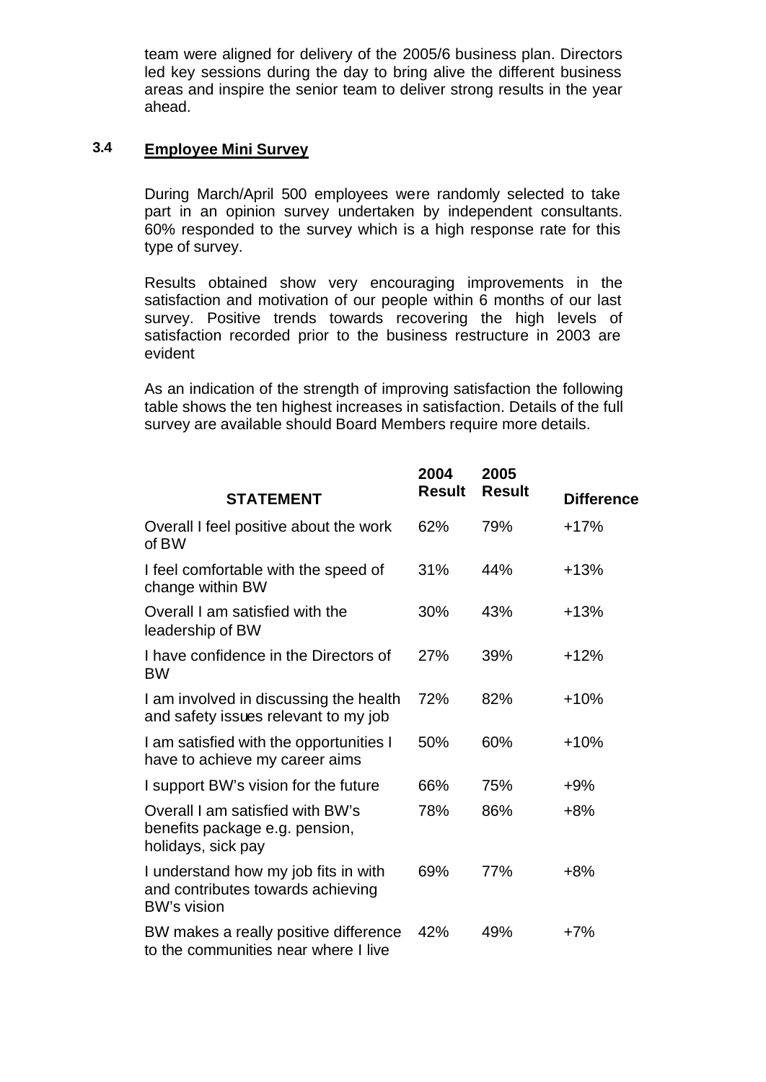team were aligned for delivery of the 2005/6 business plan. Directors led key sessions during the day to bring alive the different business areas and inspire the senior team to deliver strong results in the year ahead.

# **3.4 Employee Mini Survey**

During March/April 500 employees were randomly selected to take part in an opinion survey undertaken by independent consultants. 60% responded to the survey which is a high response rate for this type of survey.

Results obtained show very encouraging improvements in the satisfaction and motivation of our people within 6 months of our last survey. Positive trends towards recovering the high levels of satisfaction recorded prior to the business restructure in 2003 are evident

As an indication of the strength of improving satisfaction the following table shows the ten highest increases in satisfaction. Details of the full survey are available should Board Members require more details.

|                                                                                                 | 2004          | 2005          |                   |
|-------------------------------------------------------------------------------------------------|---------------|---------------|-------------------|
| <b>STATEMENT</b>                                                                                | <b>Result</b> | <b>Result</b> | <b>Difference</b> |
| Overall I feel positive about the work<br>of BW                                                 | 62%           | 79%           | $+17%$            |
| I feel comfortable with the speed of<br>change within BW                                        | 31%           | 44%           | $+13%$            |
| Overall I am satisfied with the<br>leadership of BW                                             | 30%           | 43%           | $+13%$            |
| I have confidence in the Directors of<br><b>BW</b>                                              | 27%           | 39%           | $+12%$            |
| I am involved in discussing the health<br>and safety issues relevant to my job                  | 72%           | 82%           | $+10%$            |
| I am satisfied with the opportunities I<br>have to achieve my career aims                       | 50%           | 60%           | $+10%$            |
| I support BW's vision for the future                                                            | 66%           | 75%           | $+9%$             |
| Overall I am satisfied with BW's<br>benefits package e.g. pension,<br>holidays, sick pay        | 78%           | 86%           | $+8%$             |
| I understand how my job fits in with<br>and contributes towards achieving<br><b>BW's vision</b> | 69%           | 77%           | $+8%$             |
| BW makes a really positive difference<br>to the communities near where I live                   | 42%           | 49%           | $+7%$             |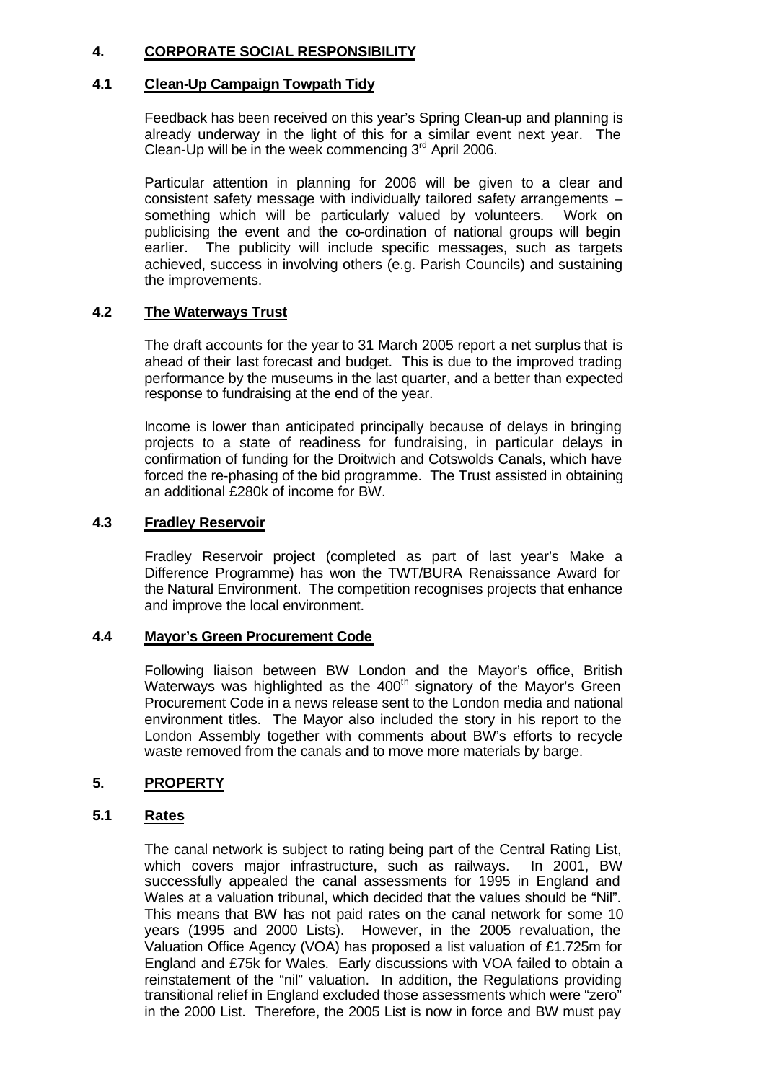# **4. CORPORATE SOCIAL RESPONSIBILITY**

#### **4.1 Clean-Up Campaign Towpath Tidy**

Feedback has been received on this year's Spring Clean-up and planning is already underway in the light of this for a similar event next year. The Clean-Up will be in the week commencing  $3<sup>rd</sup>$  April 2006.

Particular attention in planning for 2006 will be given to a clear and consistent safety message with individually tailored safety arrangements – something which will be particularly valued by volunteers. Work on publicising the event and the co-ordination of national groups will begin earlier. The publicity will include specific messages, such as targets achieved, success in involving others (e.g. Parish Councils) and sustaining the improvements.

#### **4.2 The Waterways Trust**

The draft accounts for the year to 31 March 2005 report a net surplus that is ahead of their last forecast and budget. This is due to the improved trading performance by the museums in the last quarter, and a better than expected response to fundraising at the end of the year.

Income is lower than anticipated principally because of delays in bringing projects to a state of readiness for fundraising, in particular delays in confirmation of funding for the Droitwich and Cotswolds Canals, which have forced the re-phasing of the bid programme. The Trust assisted in obtaining an additional £280k of income for BW.

#### **4.3 Fradley Reservoir**

Fradley Reservoir project (completed as part of last year's Make a Difference Programme) has won the TWT/BURA Renaissance Award for the Natural Environment. The competition recognises projects that enhance and improve the local environment.

#### **4.4 Mayor's Green Procurement Code**

Following liaison between BW London and the Mayor's office, British Waterways was highlighted as the 400<sup>th</sup> signatory of the Mayor's Green Procurement Code in a news release sent to the London media and national environment titles. The Mayor also included the story in his report to the London Assembly together with comments about BW's efforts to recycle waste removed from the canals and to move more materials by barge.

#### **5. PROPERTY**

#### **5.1 Rates**

The canal network is subject to rating being part of the Central Rating List, which covers major infrastructure, such as railways. In 2001, BW successfully appealed the canal assessments for 1995 in England and Wales at a valuation tribunal, which decided that the values should be "Nil". This means that BW has not paid rates on the canal network for some 10 years (1995 and 2000 Lists). However, in the 2005 revaluation, the Valuation Office Agency (VOA) has proposed a list valuation of £1.725m for England and £75k for Wales. Early discussions with VOA failed to obtain a reinstatement of the "nil" valuation. In addition, the Regulations providing transitional relief in England excluded those assessments which were "zero" in the 2000 List. Therefore, the 2005 List is now in force and BW must pay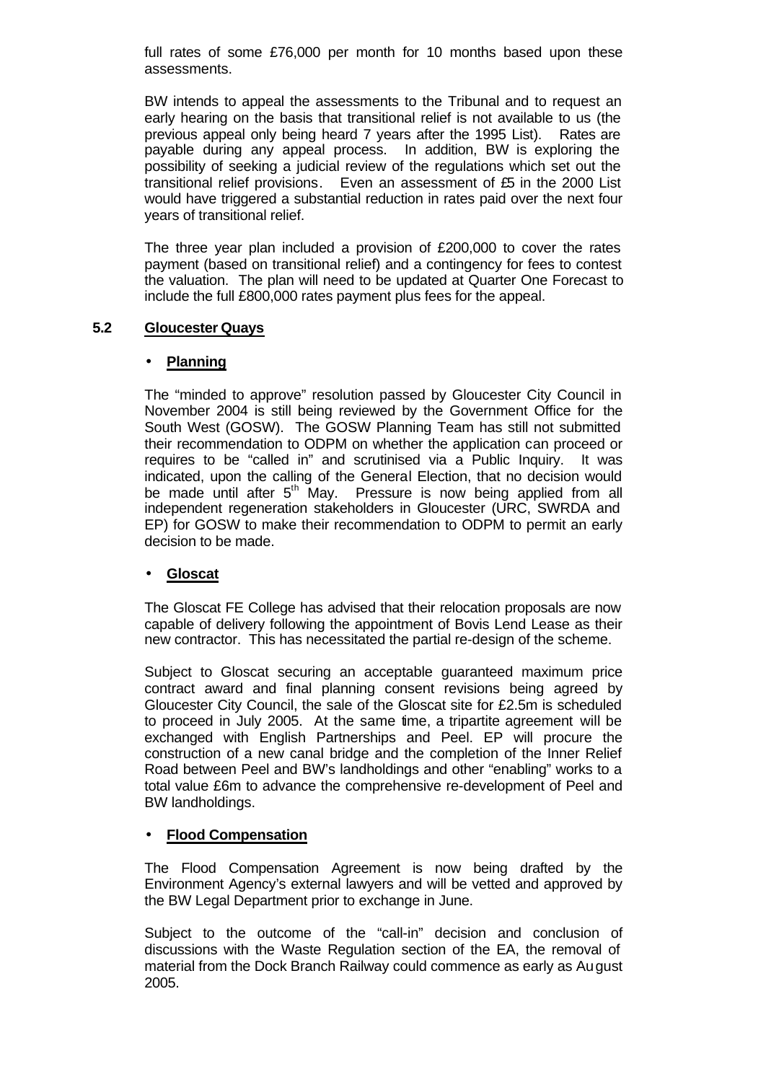full rates of some £76,000 per month for 10 months based upon these assessments.

BW intends to appeal the assessments to the Tribunal and to request an early hearing on the basis that transitional relief is not available to us (the previous appeal only being heard 7 years after the 1995 List). Rates are payable during any appeal process. In addition, BW is exploring the possibility of seeking a judicial review of the regulations which set out the transitional relief provisions. Even an assessment of £5 in the 2000 List would have triggered a substantial reduction in rates paid over the next four years of transitional relief.

The three year plan included a provision of £200,000 to cover the rates payment (based on transitional relief) and a contingency for fees to contest the valuation. The plan will need to be updated at Quarter One Forecast to include the full £800,000 rates payment plus fees for the appeal.

#### **5.2 Gloucester Quays**

#### • **Planning**

The "minded to approve" resolution passed by Gloucester City Council in November 2004 is still being reviewed by the Government Office for the South West (GOSW). The GOSW Planning Team has still not submitted their recommendation to ODPM on whether the application can proceed or requires to be "called in" and scrutinised via a Public Inquiry. It was indicated, upon the calling of the General Election, that no decision would be made until after 5<sup>th</sup> May. Pressure is now being applied from all independent regeneration stakeholders in Gloucester (URC, SWRDA and EP) for GOSW to make their recommendation to ODPM to permit an early decision to be made.

#### • **Gloscat**

The Gloscat FE College has advised that their relocation proposals are now capable of delivery following the appointment of Bovis Lend Lease as their new contractor. This has necessitated the partial re-design of the scheme.

Subject to Gloscat securing an acceptable guaranteed maximum price contract award and final planning consent revisions being agreed by Gloucester City Council, the sale of the Gloscat site for £2.5m is scheduled to proceed in July 2005. At the same time, a tripartite agreement will be exchanged with English Partnerships and Peel. EP will procure the construction of a new canal bridge and the completion of the Inner Relief Road between Peel and BW's landholdings and other "enabling" works to a total value £6m to advance the comprehensive re-development of Peel and BW landholdings.

#### • **Flood Compensation**

The Flood Compensation Agreement is now being drafted by the Environment Agency's external lawyers and will be vetted and approved by the BW Legal Department prior to exchange in June.

Subject to the outcome of the "call-in" decision and conclusion of discussions with the Waste Regulation section of the EA, the removal of material from the Dock Branch Railway could commence as early as August 2005.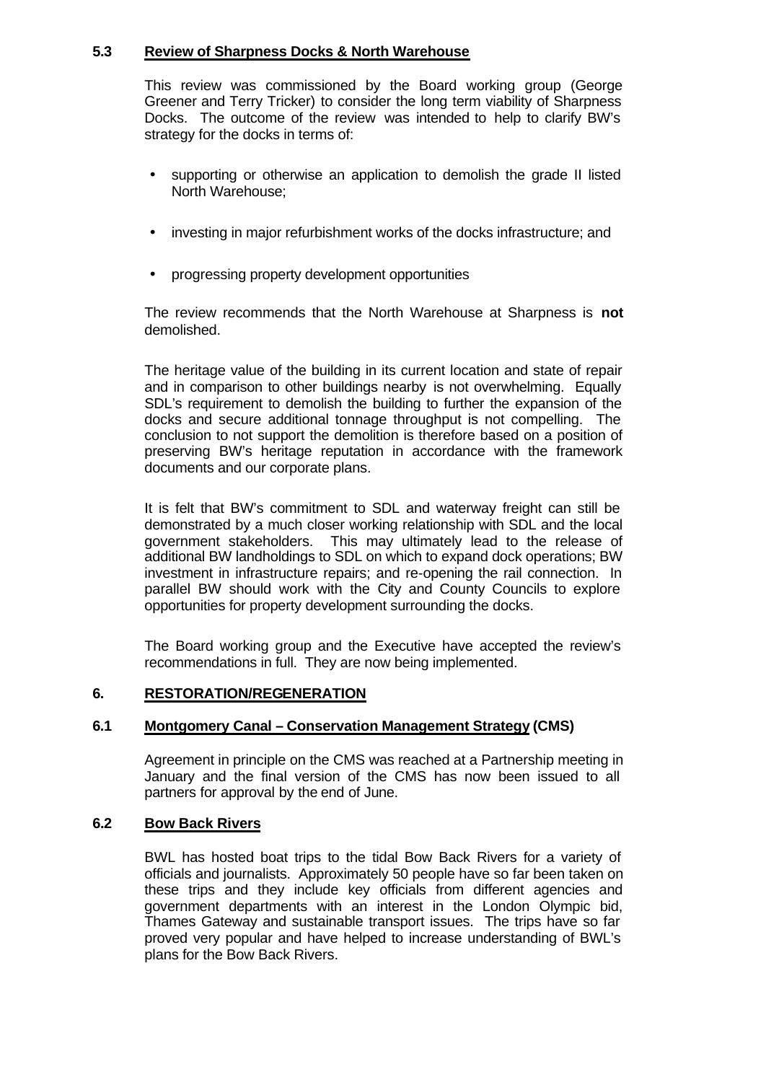#### **5.3 Review of Sharpness Docks & North Warehouse**

This review was commissioned by the Board working group (George Greener and Terry Tricker) to consider the long term viability of Sharpness Docks. The outcome of the review was intended to help to clarify BW's strategy for the docks in terms of:

- supporting or otherwise an application to demolish the grade II listed North Warehouse;
- investing in major refurbishment works of the docks infrastructure; and
- progressing property development opportunities

The review recommends that the North Warehouse at Sharpness is **not** demolished.

The heritage value of the building in its current location and state of repair and in comparison to other buildings nearby is not overwhelming. Equally SDL's requirement to demolish the building to further the expansion of the docks and secure additional tonnage throughput is not compelling. The conclusion to not support the demolition is therefore based on a position of preserving BW's heritage reputation in accordance with the framework documents and our corporate plans.

It is felt that BW's commitment to SDL and waterway freight can still be demonstrated by a much closer working relationship with SDL and the local government stakeholders. This may ultimately lead to the release of additional BW landholdings to SDL on which to expand dock operations; BW investment in infrastructure repairs; and re-opening the rail connection. In parallel BW should work with the City and County Councils to explore opportunities for property development surrounding the docks.

The Board working group and the Executive have accepted the review's recommendations in full. They are now being implemented.

#### **6. RESTORATION/REGENERATION**

#### **6.1 Montgomery Canal – Conservation Management Strategy (CMS)**

Agreement in principle on the CMS was reached at a Partnership meeting in January and the final version of the CMS has now been issued to all partners for approval by the end of June.

#### **6.2 Bow Back Rivers**

BWL has hosted boat trips to the tidal Bow Back Rivers for a variety of officials and journalists. Approximately 50 people have so far been taken on these trips and they include key officials from different agencies and government departments with an interest in the London Olympic bid, Thames Gateway and sustainable transport issues. The trips have so far proved very popular and have helped to increase understanding of BWL's plans for the Bow Back Rivers.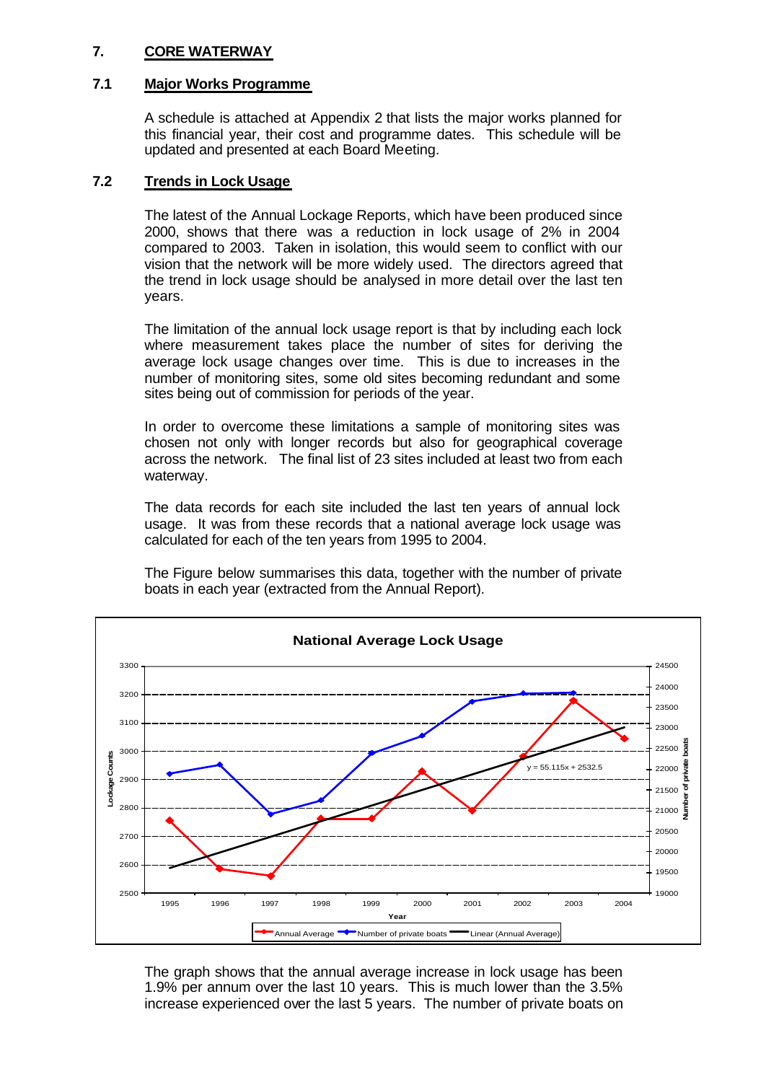#### **7. CORE WATERWAY**

### **7.1 Major Works Programme**

A schedule is attached at Appendix 2 that lists the major works planned for this financial year, their cost and programme dates. This schedule will be updated and presented at each Board Meeting.

### **7.2 Trends in Lock Usage**

The latest of the Annual Lockage Reports, which have been produced since 2000, shows that there was a reduction in lock usage of 2% in 2004 compared to 2003. Taken in isolation, this would seem to conflict with our vision that the network will be more widely used. The directors agreed that the trend in lock usage should be analysed in more detail over the last ten years.

The limitation of the annual lock usage report is that by including each lock where measurement takes place the number of sites for deriving the average lock usage changes over time. This is due to increases in the number of monitoring sites, some old sites becoming redundant and some sites being out of commission for periods of the year.

In order to overcome these limitations a sample of monitoring sites was chosen not only with longer records but also for geographical coverage across the network. The final list of 23 sites included at least two from each waterway.

The data records for each site included the last ten years of annual lock usage. It was from these records that a national average lock usage was calculated for each of the ten years from 1995 to 2004.

The Figure below summarises this data, together with the number of private boats in each year (extracted from the Annual Report).



The graph shows that the annual average increase in lock usage has been 1.9% per annum over the last 10 years. This is much lower than the 3.5% increase experienced over the last 5 years. The number of private boats on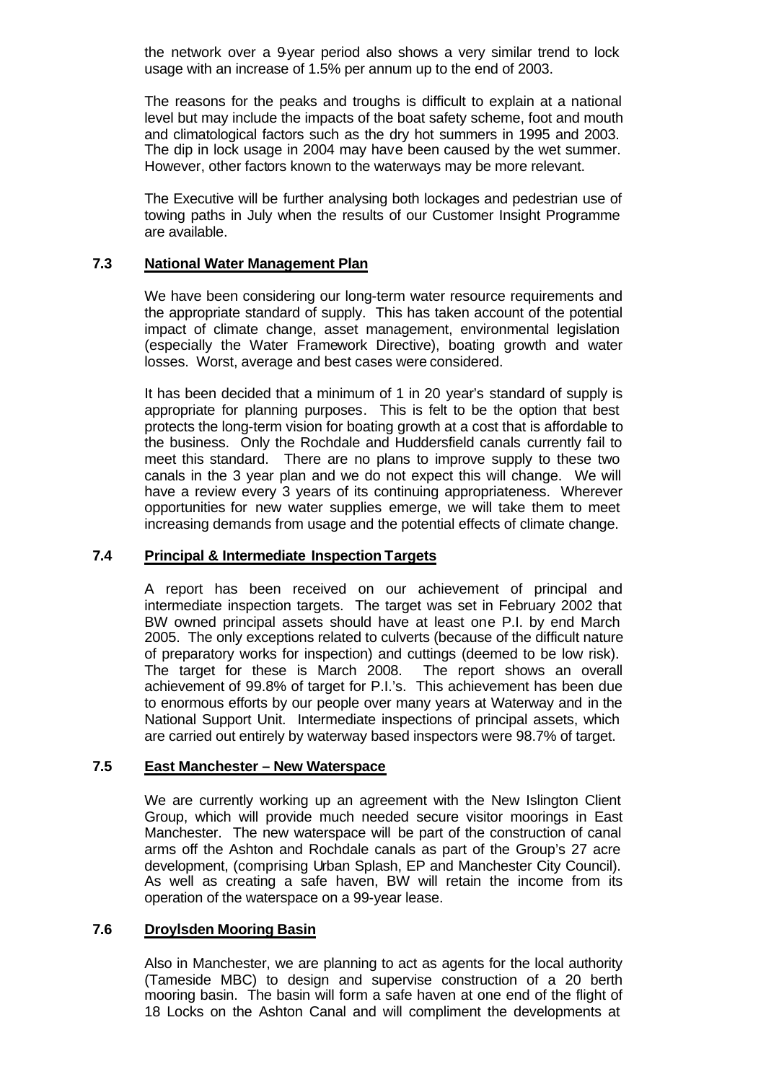the network over a 9-year period also shows a very similar trend to lock usage with an increase of 1.5% per annum up to the end of 2003.

The reasons for the peaks and troughs is difficult to explain at a national level but may include the impacts of the boat safety scheme, foot and mouth and climatological factors such as the dry hot summers in 1995 and 2003. The dip in lock usage in 2004 may have been caused by the wet summer. However, other factors known to the waterways may be more relevant.

The Executive will be further analysing both lockages and pedestrian use of towing paths in July when the results of our Customer Insight Programme are available.

#### **7.3 National Water Management Plan**

We have been considering our long-term water resource requirements and the appropriate standard of supply. This has taken account of the potential impact of climate change, asset management, environmental legislation (especially the Water Framework Directive), boating growth and water losses. Worst, average and best cases were considered.

It has been decided that a minimum of 1 in 20 year's standard of supply is appropriate for planning purposes. This is felt to be the option that best protects the long-term vision for boating growth at a cost that is affordable to the business. Only the Rochdale and Huddersfield canals currently fail to meet this standard. There are no plans to improve supply to these two canals in the 3 year plan and we do not expect this will change. We will have a review every 3 years of its continuing appropriateness. Wherever opportunities for new water supplies emerge, we will take them to meet increasing demands from usage and the potential effects of climate change.

#### **7.4 Principal & Intermediate Inspection Targets**

A report has been received on our achievement of principal and intermediate inspection targets. The target was set in February 2002 that BW owned principal assets should have at least one P.I. by end March 2005. The only exceptions related to culverts (because of the difficult nature of preparatory works for inspection) and cuttings (deemed to be low risk). The target for these is March 2008. The report shows an overall achievement of 99.8% of target for P.I.'s. This achievement has been due to enormous efforts by our people over many years at Waterway and in the National Support Unit. Intermediate inspections of principal assets, which are carried out entirely by waterway based inspectors were 98.7% of target.

#### **7.5 East Manchester – New Waterspace**

We are currently working up an agreement with the New Islington Client Group, which will provide much needed secure visitor moorings in East Manchester. The new waterspace will be part of the construction of canal arms off the Ashton and Rochdale canals as part of the Group's 27 acre development, (comprising Urban Splash, EP and Manchester City Council). As well as creating a safe haven, BW will retain the income from its operation of the waterspace on a 99-year lease.

#### **7.6 Droylsden Mooring Basin**

Also in Manchester, we are planning to act as agents for the local authority (Tameside MBC) to design and supervise construction of a 20 berth mooring basin. The basin will form a safe haven at one end of the flight of 18 Locks on the Ashton Canal and will compliment the developments at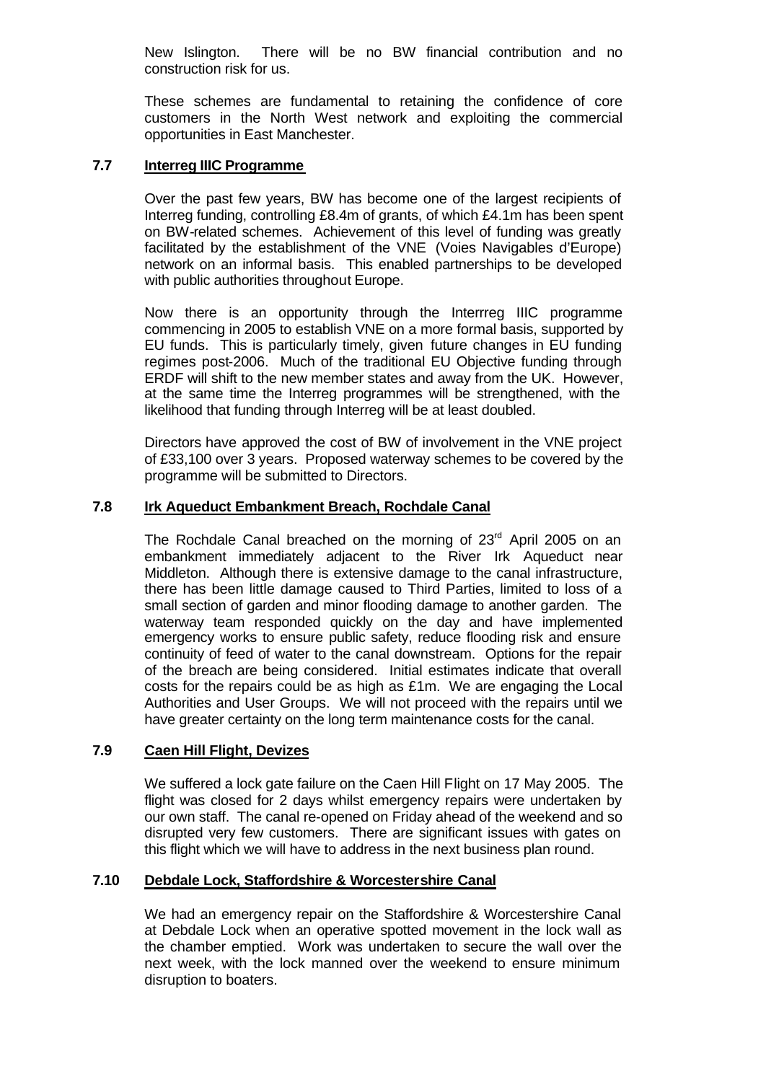New Islington. There will be no BW financial contribution and no construction risk for us.

These schemes are fundamental to retaining the confidence of core customers in the North West network and exploiting the commercial opportunities in East Manchester.

#### **7.7 Interreg IIIC Programme**

Over the past few years, BW has become one of the largest recipients of Interreg funding, controlling £8.4m of grants, of which £4.1m has been spent on BW-related schemes. Achievement of this level of funding was greatly facilitated by the establishment of the VNE (Voies Navigables d'Europe) network on an informal basis. This enabled partnerships to be developed with public authorities throughout Europe.

Now there is an opportunity through the Interrreg IIIC programme commencing in 2005 to establish VNE on a more formal basis, supported by EU funds. This is particularly timely, given future changes in EU funding regimes post-2006. Much of the traditional EU Objective funding through ERDF will shift to the new member states and away from the UK. However, at the same time the Interreg programmes will be strengthened, with the likelihood that funding through Interreg will be at least doubled.

Directors have approved the cost of BW of involvement in the VNE project of £33,100 over 3 years. Proposed waterway schemes to be covered by the programme will be submitted to Directors.

#### **7.8 Irk Aqueduct Embankment Breach, Rochdale Canal**

The Rochdale Canal breached on the morning of 23<sup>rd</sup> April 2005 on an embankment immediately adjacent to the River Irk Aqueduct near Middleton. Although there is extensive damage to the canal infrastructure, there has been little damage caused to Third Parties, limited to loss of a small section of garden and minor flooding damage to another garden. The waterway team responded quickly on the day and have implemented emergency works to ensure public safety, reduce flooding risk and ensure continuity of feed of water to the canal downstream. Options for the repair of the breach are being considered. Initial estimates indicate that overall costs for the repairs could be as high as £1m. We are engaging the Local Authorities and User Groups. We will not proceed with the repairs until we have greater certainty on the long term maintenance costs for the canal.

#### **7.9 Caen Hill Flight, Devizes**

We suffered a lock gate failure on the Caen Hill Flight on 17 May 2005. The flight was closed for 2 days whilst emergency repairs were undertaken by our own staff. The canal re-opened on Friday ahead of the weekend and so disrupted very few customers. There are significant issues with gates on this flight which we will have to address in the next business plan round.

#### **7.10 Debdale Lock, Staffordshire & Worcestershire Canal**

We had an emergency repair on the Staffordshire & Worcestershire Canal at Debdale Lock when an operative spotted movement in the lock wall as the chamber emptied. Work was undertaken to secure the wall over the next week, with the lock manned over the weekend to ensure minimum disruption to boaters.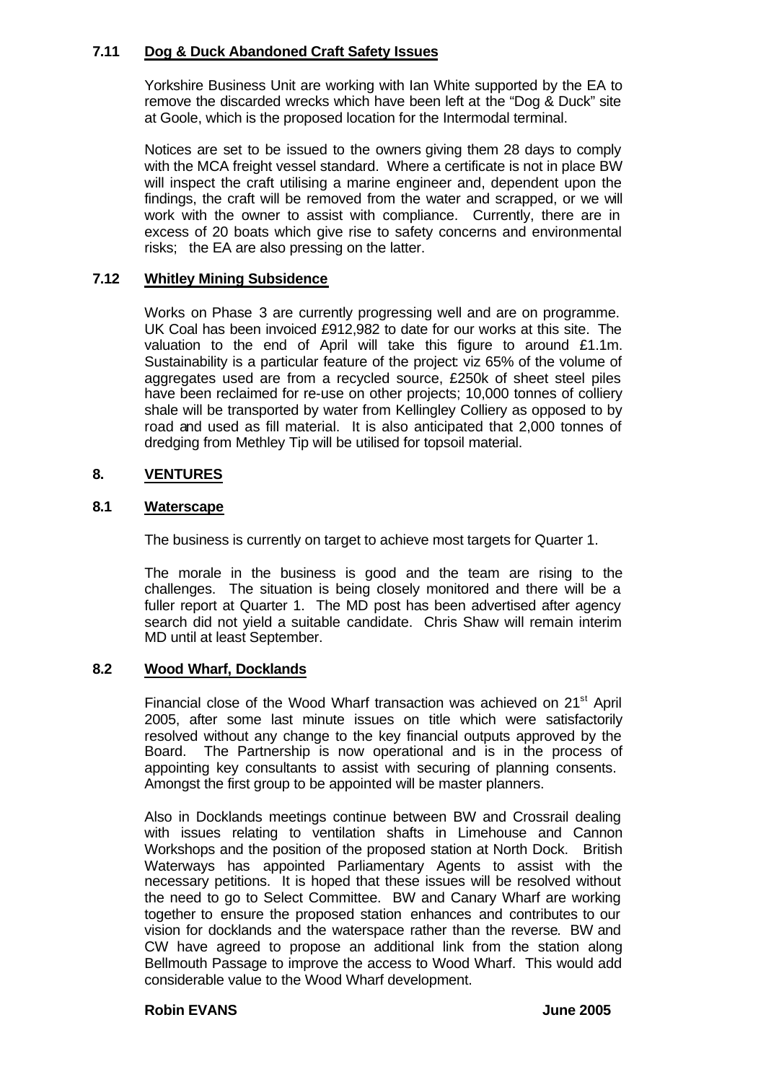#### **7.11 Dog & Duck Abandoned Craft Safety Issues**

Yorkshire Business Unit are working with Ian White supported by the EA to remove the discarded wrecks which have been left at the "Dog & Duck" site at Goole, which is the proposed location for the Intermodal terminal.

Notices are set to be issued to the owners giving them 28 days to comply with the MCA freight vessel standard. Where a certificate is not in place BW will inspect the craft utilising a marine engineer and, dependent upon the findings, the craft will be removed from the water and scrapped, or we will work with the owner to assist with compliance. Currently, there are in excess of 20 boats which give rise to safety concerns and environmental risks; the EA are also pressing on the latter.

# **7.12 Whitley Mining Subsidence**

Works on Phase 3 are currently progressing well and are on programme. UK Coal has been invoiced £912,982 to date for our works at this site. The valuation to the end of April will take this figure to around £1.1m. Sustainability is a particular feature of the project: viz 65% of the volume of aggregates used are from a recycled source, £250k of sheet steel piles have been reclaimed for re-use on other projects; 10,000 tonnes of colliery shale will be transported by water from Kellingley Colliery as opposed to by road and used as fill material. It is also anticipated that 2,000 tonnes of dredging from Methley Tip will be utilised for topsoil material.

# **8. VENTURES**

#### **8.1 Waterscape**

The business is currently on target to achieve most targets for Quarter 1.

The morale in the business is good and the team are rising to the challenges. The situation is being closely monitored and there will be a fuller report at Quarter 1. The MD post has been advertised after agency search did not yield a suitable candidate. Chris Shaw will remain interim MD until at least September.

#### **8.2 Wood Wharf, Docklands**

Financial close of the Wood Wharf transaction was achieved on 21<sup>st</sup> April 2005, after some last minute issues on title which were satisfactorily resolved without any change to the key financial outputs approved by the Board. The Partnership is now operational and is in the process of appointing key consultants to assist with securing of planning consents. Amongst the first group to be appointed will be master planners.

Also in Docklands meetings continue between BW and Crossrail dealing with issues relating to ventilation shafts in Limehouse and Cannon Workshops and the position of the proposed station at North Dock. British Waterways has appointed Parliamentary Agents to assist with the necessary petitions. It is hoped that these issues will be resolved without the need to go to Select Committee. BW and Canary Wharf are working together to ensure the proposed station enhances and contributes to our vision for docklands and the waterspace rather than the reverse. BW and CW have agreed to propose an additional link from the station along Bellmouth Passage to improve the access to Wood Wharf. This would add considerable value to the Wood Wharf development.

#### **Robin EVANS June 2005**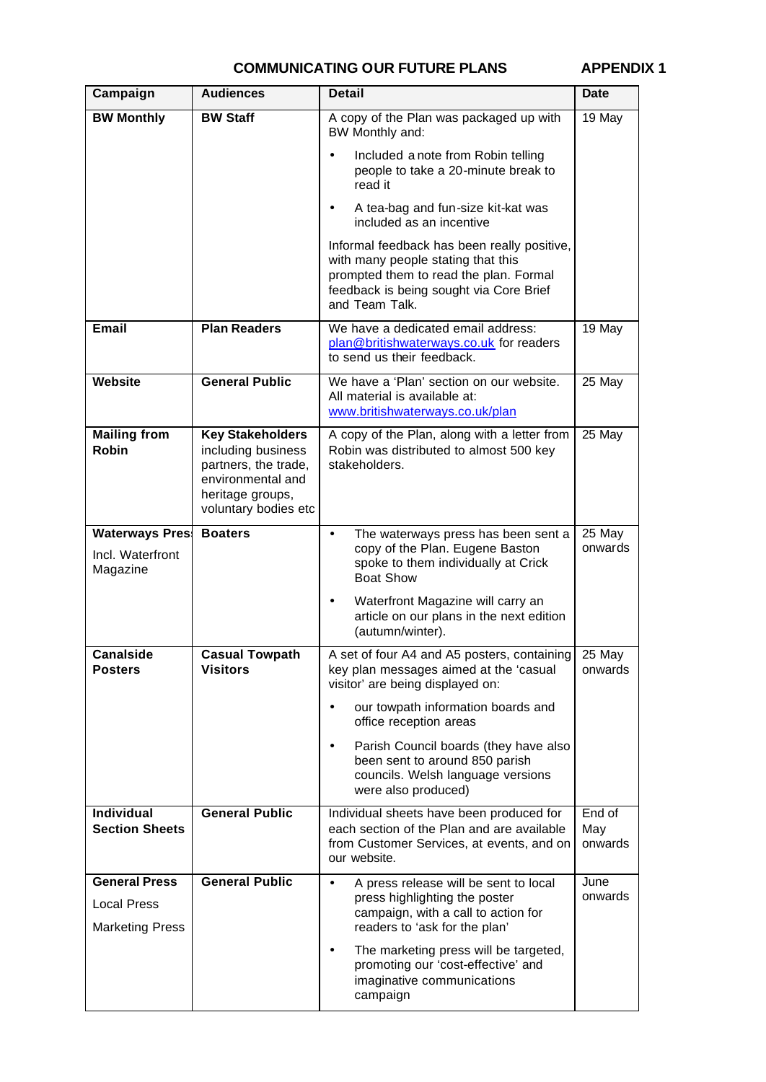# **COMMUNICATING OUR FUTURE PLANS APPENDIX 1**

| Campaign                                                             | <b>Audiences</b>                                                                                                                       | <b>Detail</b>                                                                                                                                                                                                                                                                        | <b>Date</b>              |
|----------------------------------------------------------------------|----------------------------------------------------------------------------------------------------------------------------------------|--------------------------------------------------------------------------------------------------------------------------------------------------------------------------------------------------------------------------------------------------------------------------------------|--------------------------|
| <b>BW Monthly</b>                                                    | <b>BW Staff</b>                                                                                                                        | A copy of the Plan was packaged up with<br>BW Monthly and:                                                                                                                                                                                                                           | $\overline{1}9$ May      |
|                                                                      |                                                                                                                                        | Included a note from Robin telling<br>people to take a 20-minute break to<br>read it                                                                                                                                                                                                 |                          |
|                                                                      |                                                                                                                                        | A tea-bag and fun-size kit-kat was<br>included as an incentive                                                                                                                                                                                                                       |                          |
|                                                                      |                                                                                                                                        | Informal feedback has been really positive,<br>with many people stating that this<br>prompted them to read the plan. Formal<br>feedback is being sought via Core Brief<br>and Team Talk.                                                                                             |                          |
| <b>Email</b>                                                         | <b>Plan Readers</b>                                                                                                                    | We have a dedicated email address:<br>plan@britishwaterways.co.uk for readers<br>to send us their feedback.                                                                                                                                                                          | 19 May                   |
| <b>Website</b>                                                       | <b>General Public</b>                                                                                                                  | We have a 'Plan' section on our website.<br>All material is available at:<br>www.britishwaterways.co.uk/plan                                                                                                                                                                         | 25 May                   |
| <b>Mailing from</b><br><b>Robin</b>                                  | <b>Key Stakeholders</b><br>including business<br>partners, the trade,<br>environmental and<br>heritage groups,<br>voluntary bodies etc | A copy of the Plan, along with a letter from<br>Robin was distributed to almost 500 key<br>stakeholders.                                                                                                                                                                             | 25 May                   |
| <b>Waterways Pres!</b><br>Incl. Waterfront<br>Magazine               | <b>Boaters</b>                                                                                                                         | The waterways press has been sent a<br>$\bullet$<br>copy of the Plan. Eugene Baston<br>spoke to them individually at Crick<br><b>Boat Show</b><br>Waterfront Magazine will carry an                                                                                                  | 25 May<br>onwards        |
|                                                                      |                                                                                                                                        | article on our plans in the next edition<br>(autumn/winter).                                                                                                                                                                                                                         |                          |
| <b>Canalside</b><br><b>Posters</b>                                   | <b>Casual Towpath</b><br><b>Visitors</b>                                                                                               | A set of four A4 and A5 posters, containing 25 May<br>key plan messages aimed at the 'casual<br>visitor' are being displayed on:<br>our towpath information boards and                                                                                                               | onwards                  |
|                                                                      |                                                                                                                                        | office reception areas<br>Parish Council boards (they have also<br>been sent to around 850 parish<br>councils. Welsh language versions<br>were also produced)                                                                                                                        |                          |
| <b>Individual</b><br><b>Section Sheets</b>                           | <b>General Public</b>                                                                                                                  | Individual sheets have been produced for<br>each section of the Plan and are available<br>from Customer Services, at events, and on<br>our website.                                                                                                                                  | End of<br>May<br>onwards |
| <b>General Press</b><br><b>Local Press</b><br><b>Marketing Press</b> | <b>General Public</b>                                                                                                                  | A press release will be sent to local<br>$\bullet$<br>press highlighting the poster<br>campaign, with a call to action for<br>readers to 'ask for the plan'<br>The marketing press will be targeted,<br>promoting our 'cost-effective' and<br>imaginative communications<br>campaign | June<br>onwards          |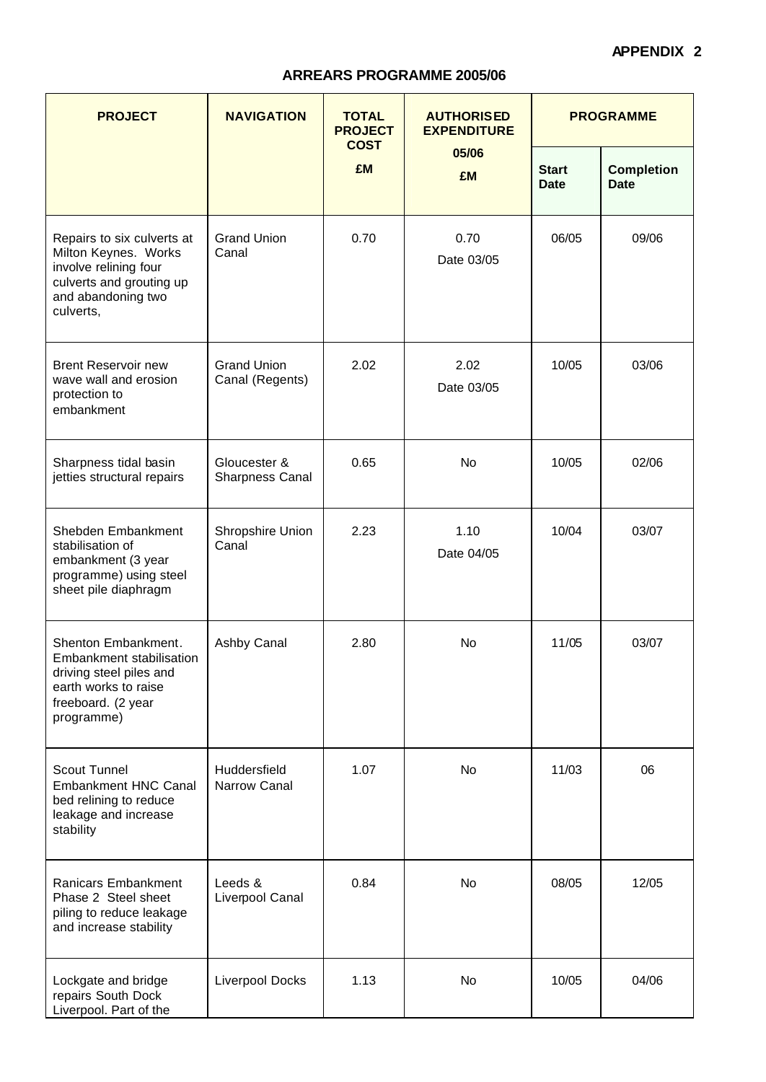# **APPENDIX 2**

# **ARREARS PROGRAMME 2005/06**

| <b>NAVIGATION</b><br><b>PROJECT</b>                                                                                                        |                                        | <b>TOTAL</b><br><b>PROJECT</b><br><b>COST</b> | <b>AUTHORISED</b><br><b>EXPENDITURE</b> | <b>PROGRAMME</b>            |                                  |
|--------------------------------------------------------------------------------------------------------------------------------------------|----------------------------------------|-----------------------------------------------|-----------------------------------------|-----------------------------|----------------------------------|
|                                                                                                                                            |                                        | <b>£M</b>                                     | 05/06<br>£M                             | <b>Start</b><br><b>Date</b> | <b>Completion</b><br><b>Date</b> |
| Repairs to six culverts at<br>Milton Keynes. Works<br>involve relining four<br>culverts and grouting up<br>and abandoning two<br>culverts, | <b>Grand Union</b><br>Canal            | 0.70                                          | 0.70<br>Date 03/05                      | 06/05                       | 09/06                            |
| <b>Brent Reservoir new</b><br>wave wall and erosion<br>protection to<br>embankment                                                         | <b>Grand Union</b><br>Canal (Regents)  | 2.02                                          | 2.02<br>Date 03/05                      | 10/05                       | 03/06                            |
| Sharpness tidal basin<br>jetties structural repairs                                                                                        | Gloucester &<br><b>Sharpness Canal</b> | 0.65                                          | <b>No</b>                               | 10/05                       | 02/06                            |
| Shebden Embankment<br>stabilisation of<br>embankment (3 year<br>programme) using steel<br>sheet pile diaphragm                             | Shropshire Union<br>Canal              | 2.23                                          | 1.10<br>Date 04/05                      | 10/04                       | 03/07                            |
| Shenton Embankment.<br>Embankment stabilisation<br>driving steel piles and<br>earth works to raise<br>freeboard. (2 year<br>programme)     | Ashby Canal                            | 2.80                                          | No                                      | 11/05                       | 03/07                            |
| <b>Scout Tunnel</b><br><b>Embankment HNC Canal</b><br>bed relining to reduce<br>leakage and increase<br>stability                          | Huddersfield<br>Narrow Canal           | 1.07                                          | <b>No</b>                               | 11/03                       | 06                               |
| Ranicars Embankment<br>Phase 2 Steel sheet<br>piling to reduce leakage<br>and increase stability                                           | Leeds &<br>Liverpool Canal             | 0.84                                          | <b>No</b>                               | 08/05                       | 12/05                            |
| Lockgate and bridge<br>repairs South Dock<br>Liverpool. Part of the                                                                        | Liverpool Docks                        | 1.13                                          | No                                      | 10/05                       | 04/06                            |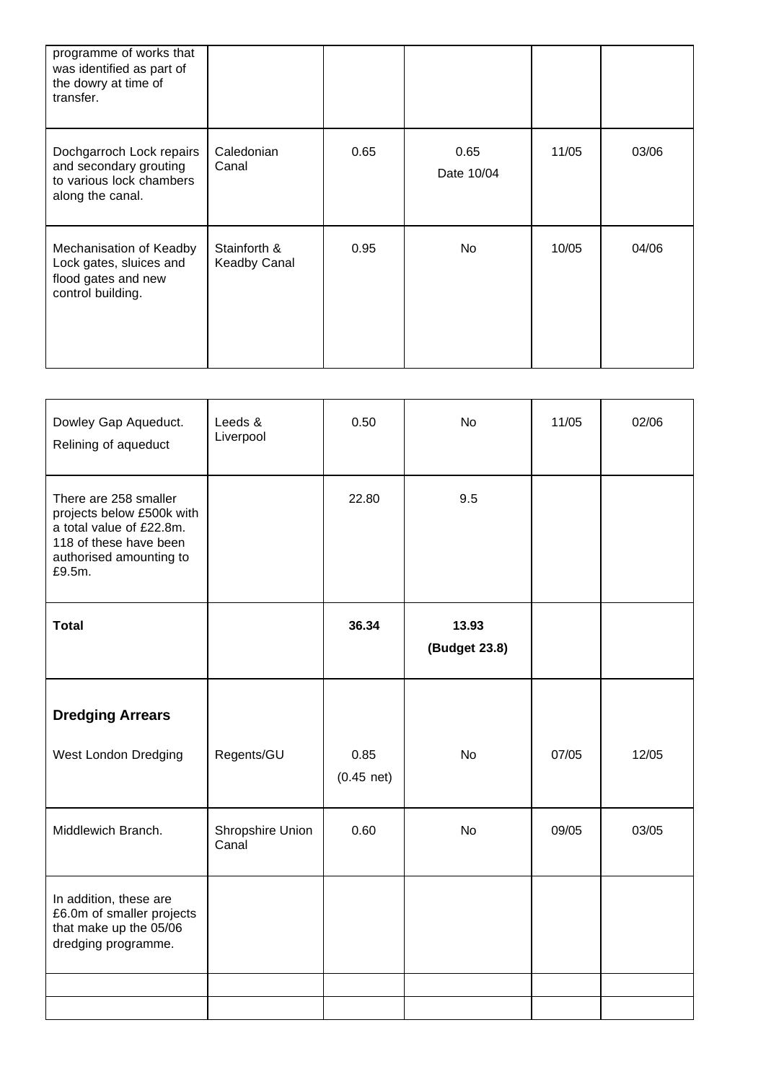| programme of works that<br>was identified as part of<br>the dowry at time of<br>transfer.          |                                     |      |                    |       |       |
|----------------------------------------------------------------------------------------------------|-------------------------------------|------|--------------------|-------|-------|
| Dochgarroch Lock repairs<br>and secondary grouting<br>to various lock chambers<br>along the canal. | Caledonian<br>Canal                 | 0.65 | 0.65<br>Date 10/04 | 11/05 | 03/06 |
| Mechanisation of Keadby<br>Lock gates, sluices and<br>flood gates and new<br>control building.     | Stainforth &<br><b>Keadby Canal</b> | 0.95 | <b>No</b>          | 10/05 | 04/06 |

| Dowley Gap Aqueduct.<br>Relining of aqueduct                                                                                                  | Leeds &<br>Liverpool      | 0.50                 | <b>No</b>              | 11/05 | 02/06 |
|-----------------------------------------------------------------------------------------------------------------------------------------------|---------------------------|----------------------|------------------------|-------|-------|
| There are 258 smaller<br>projects below £500k with<br>a total value of £22.8m.<br>118 of these have been<br>authorised amounting to<br>£9.5m. |                           | 22.80                | 9.5                    |       |       |
| <b>Total</b>                                                                                                                                  |                           | 36.34                | 13.93<br>(Budget 23.8) |       |       |
| <b>Dredging Arrears</b>                                                                                                                       |                           |                      |                        |       |       |
| West London Dredging                                                                                                                          | Regents/GU                | 0.85<br>$(0.45$ net) | <b>No</b>              | 07/05 | 12/05 |
| Middlewich Branch.                                                                                                                            | Shropshire Union<br>Canal | 0.60                 | <b>No</b>              | 09/05 | 03/05 |
| In addition, these are<br>£6.0m of smaller projects<br>that make up the 05/06<br>dredging programme.                                          |                           |                      |                        |       |       |
|                                                                                                                                               |                           |                      |                        |       |       |